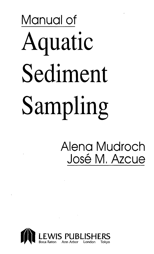# Manual of Aquatic Sediment Sampling

## Alena Mudroch José M. Azcue

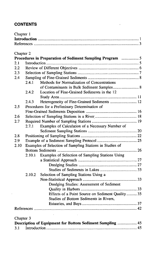#### **CONTENTS**

| Chapter 1 |  |
|-----------|--|
|           |  |
|           |  |

 $\mathcal{A}^{\mathcal{A}}$ 

#### Chanter 2

ä,

|           |        | Procedures in Preparation of Sediment Sampling Program  5 |  |
|-----------|--------|-----------------------------------------------------------|--|
| 2.1       |        |                                                           |  |
| 2.2       |        |                                                           |  |
| 2.3       |        |                                                           |  |
| 2.4       |        |                                                           |  |
|           | 2.4.1  | Methods for Normalization of Concentrations               |  |
|           |        | of Contaminants in Bulk Sediment Samples 8                |  |
|           | 2.4.2  | Location of Fine-Grained Sediments in the 12              |  |
|           |        |                                                           |  |
|           | 2.4.3  | Heterogeneity of Fine-Grained Sediments  12               |  |
| 2.5       |        | Procedures for a Preliminary Determination of             |  |
|           |        |                                                           |  |
| 2.6       |        |                                                           |  |
| 2.7       |        |                                                           |  |
|           | 2.7.1  | Examples of Calculation of a Necessary Number of          |  |
|           |        |                                                           |  |
| 2.8       |        |                                                           |  |
| 2.9       |        |                                                           |  |
| 2.10      |        | Examples of Selection of Sampling Stations in Studies of  |  |
|           |        |                                                           |  |
|           | 2.10.1 | Examples of Selection of Sampling Stations Using          |  |
|           |        |                                                           |  |
|           |        |                                                           |  |
|           |        |                                                           |  |
|           | 2.10.2 | Selection of Sampling Stations Using a                    |  |
|           |        |                                                           |  |
|           |        | Dredging Studies: Assessment of Sediment                  |  |
|           |        |                                                           |  |
|           |        | Effects of a Point Source on Sediment Quality  35         |  |
|           |        | Studies of Bottom Sediments in Rivers,                    |  |
|           |        |                                                           |  |
|           |        |                                                           |  |
|           |        |                                                           |  |
| Chapter 3 |        |                                                           |  |
|           |        | Description of Equipment for Bottom Sediment Sampling  45 |  |

3.1 Introduction 45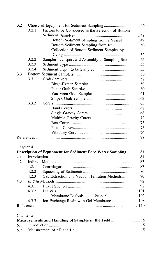| 3.2       |       |                                                               |  |
|-----------|-------|---------------------------------------------------------------|--|
|           | 3.2.1 | Factors to be Considered in the Selection of Bottom           |  |
|           |       |                                                               |  |
|           |       | Bottom Sediment Sampling from a Vessel 49                     |  |
|           |       |                                                               |  |
|           |       | Collection of Bottom Sediment Samples by                      |  |
|           |       |                                                               |  |
|           | 3.2.2 | Sampler Transport and Assembly at Sampling Site  55           |  |
|           | 3.2.3 |                                                               |  |
|           | 3.2.4 |                                                               |  |
| 3.3       |       |                                                               |  |
|           | 3.3.1 |                                                               |  |
|           |       |                                                               |  |
|           |       |                                                               |  |
|           |       |                                                               |  |
|           |       |                                                               |  |
|           | 3.3.2 |                                                               |  |
|           |       |                                                               |  |
|           |       |                                                               |  |
|           |       |                                                               |  |
|           |       |                                                               |  |
|           |       |                                                               |  |
|           |       |                                                               |  |
|           |       |                                                               |  |
|           |       |                                                               |  |
| Chapter 4 |       |                                                               |  |
|           |       | Description of Equipment for Sediment Pore Water Sampling  81 |  |
| 4.1       |       |                                                               |  |
| 4.2       |       |                                                               |  |
|           | 4.2.1 |                                                               |  |
|           | 4.2.2 |                                                               |  |
|           | 4.2.3 | Gas Extraction and Vacuum Filtration Methods 90               |  |
| 4.3       |       |                                                               |  |
|           | 4.3.1 |                                                               |  |
|           | 4.3.2 |                                                               |  |
|           |       |                                                               |  |
|           | 4.3.3 |                                                               |  |
|           |       |                                                               |  |
|           |       |                                                               |  |
| Chapter 5 |       |                                                               |  |
|           |       | Measurements and Handling of Samples in the Field  115        |  |
| 5.1       |       |                                                               |  |

5.2 Measurement of pH and Eh 115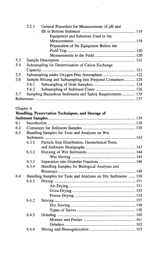|     | 5.2.1 | General Procedure for Measurements of pH and               |  |
|-----|-------|------------------------------------------------------------|--|
|     |       |                                                            |  |
|     |       | Equipment and Solutions Used in the                        |  |
|     |       |                                                            |  |
|     |       | Preparation of the Equipment Before the                    |  |
|     |       |                                                            |  |
|     |       |                                                            |  |
| 5.3 |       |                                                            |  |
| 5.4 |       | Subsampling for Determination of Cation Exchange           |  |
|     |       |                                                            |  |
| 5.5 |       | Subsampling under Oxygen-Free Atmosphere  122              |  |
| 5.6 |       | Sample Mixing and Subsampling into Prepared Containers 124 |  |
|     | 5.6.1 |                                                            |  |
|     |       |                                                            |  |
| 5.7 |       | Sampling Hazardous Sediments and Safety Requirements  135  |  |
|     |       |                                                            |  |
|     |       |                                                            |  |

 $\overline{a}$ 

### Chapter 6

<sup>1</sup>

|     |                                                               | Handling, Preservation Techniques, and Storage of |  |
|-----|---------------------------------------------------------------|---------------------------------------------------|--|
|     |                                                               |                                                   |  |
| 6.1 |                                                               |                                                   |  |
| 6.2 |                                                               |                                                   |  |
| 6.3 | Handling Samples for Tests and Analyses on Wet                |                                                   |  |
|     |                                                               |                                                   |  |
|     | 6.3.1                                                         | Particle Size Distribution, Geotechnical Tests,   |  |
|     |                                                               |                                                   |  |
|     | 6.3.2                                                         |                                                   |  |
|     |                                                               |                                                   |  |
|     | 6.3.3                                                         |                                                   |  |
|     | 6.3.4                                                         | Handling Samples for Biological Analyses and      |  |
|     |                                                               |                                                   |  |
| 6.4 | Handling Samples for Tests and Analyses on Dry Sediments  150 |                                                   |  |
|     | 6.4.1                                                         |                                                   |  |
|     |                                                               |                                                   |  |
|     |                                                               |                                                   |  |
|     |                                                               |                                                   |  |
|     | 6.4.2                                                         |                                                   |  |
|     |                                                               |                                                   |  |
|     |                                                               |                                                   |  |
|     | 6.4.3                                                         |                                                   |  |
|     |                                                               |                                                   |  |
|     |                                                               |                                                   |  |
|     | 6.4.4                                                         |                                                   |  |